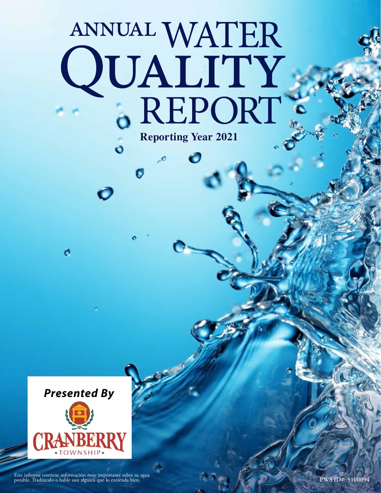# ANNUAL WATER QUALITY .. **Reporting Year 2021**



o

Pute informe contiene información muy importante sobre su agua entienda de la contiene de la contiene de la contie<br>Potable. Tradúzcalo o hable con alguien que lo entienda bien.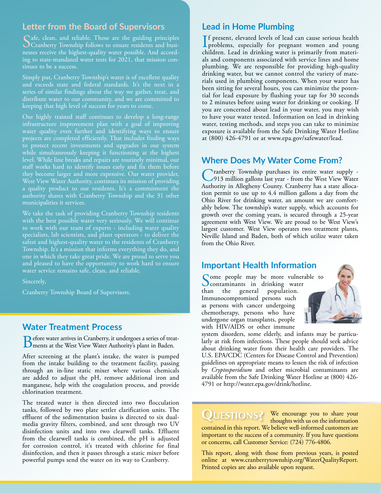### **Letter from the Board of Supervisors**

Safe, clean, and reliable. Those are the guiding principles<br>Cranberry Township follows to ensure residents and businesses receive the highest-quality water possible. And according to state-mandated water tests for 2021, that mission continues to be a success.

Simply put, Cranberry Township's water is of excellent quality series of similar findings about the way we gather, treat, and distribute water to our community, and we are committed to keeping that high level of success for years to come.

Our highly trained staff continues to develop a long-range infrastructure improvement plan with a goal of improving water quality even further and identifying ways to ensure projects are completed efficiently. That includes finding ways to protect recent investments and upgrades in our system while simultaneously keeping it functioning at the highest level. While line breaks and repairs are routinely minimal, our they become larger and more expensive. Our water provider, West View Water Authority, continues its mission of providing a quality product to our residents. It's a commitment the authority shares with Cranberry Township and the 31 other municipalities it services.

We take the task of providing Cranberry Township residents with the best possible water very seriously. We will continue to work with our team of experts - including water quality specialists, lab scientists, and plant operators - to deliver the safest and highest-quality water to the residents of Cranberry Township. It's a mission that informs everything they do, and one in which they take great pride. We are proud to serve you and pleased to have the opportunity to work hard to ensure water service remains safe, clean, and reliable.

Sincerely,

Cranberry Township Board of Supervisors.

#### **Water Treatment Process**

Before water arrives in Cranberry, it undergoes a series of treat-ments at the West View Water Authority's plant in Baden.

After screening at the plant's intake, the water is pumped from the intake building to the treatment facility, passing through an in-line static mixer where various chemicals are added to adjust the pH, remove additional iron and manganese, help with the coagulation process, and provide chlorination treatment.

The treated water is then directed into two flocculation tanks, followed by two plate settler clarification units. The effluent of the sedimentation basins is directed to six dualmedia gravity filters, combined, and sent through two UV disinfection units and into two clearwell tanks. Effluent from the clearwell tanks is combined, the pH is adjusted for corrosion control, it's treated with chlorine for final disinfection, and then it passes through a static mixer before powerful pumps send the water on its way to Cranberry.

#### **Lead in Home Plumbing**

If present, elevated levels of lead can cause serious health<br>problems, especially for pregnant women and young<br>dillated in diplomatic contraction of the material **L** problems, especially for pregnant women and young children. Lead in drinking water is primarily from materials and components associated with service lines and home plumbing. We are responsible for providing high-quality drinking water, but we cannot control the variety of materials used in plumbing components. When your water has been sitting for several hours, you can minimize the potential for lead exposure by flushing your tap for 30 seconds to 2 minutes before using water for drinking or cooking. If you are concerned about lead in your water, you may wish to have your water tested. Information on lead in drinking water, testing methods, and steps you can take to minimize exposure is available from the Safe Drinking Water Hotline at (800) 426-4791 or at [www.epa.gov/safewater/lead](http://www.epa.gov/safewater/lead).

#### **Where Does My Water Come From?**

Cranberry Township purchases its entire water supply - 913 million gallons last year - from the West View Water Authority in Allegheny County. Cranberry has a state allocation permit to use up to 4.4 million gallons a day from the Ohio River for drinking water, an amount we are comfortably below. The township's water supply, which accounts for growth over the coming years, is secured through a 25-year agreement with West View. We are proud to be West View's largest customer. West View operates two treatment plants, Neville Island and Baden, both of which utilize water taken from the Ohio River.

#### **Important Health Information**

Some people may be more vulnerable to<br>Scontaminants in drinking water<br>than the general population. **Contaminants** in drinking water than the general Immunocompromised persons such as persons with cancer undergoing chemotherapy, persons who have undergone organ transplants, people with HIV/AIDS or other immune



system disorders, some elderly, and infants may be particularly at risk from infections. These people should seek advice about drinking water from their health care providers. The U.S. EPA/CDC (Centers for Disease Control and Prevention) guidelines on appropriate means to lessen the risk of infection by *Cryptosporidium* and other microbial contaminants are available from the Safe Drinking Water Hotline at (800) 426- 4791 or<http://water.epa.gov/drink/hotline>.

## **QUESTIONS?** We encourage you to share your

thoughts with us on the information contained in this report. We believe well-informed customers are important to the success of a community. If you have questions or concerns, call Customer Service: (724) 776-4806.

This report, along with those from previous years, is posted online at [www.cranberrytownship.org/WaterQualityReport](http://www.cranberrytownship.org/WaterQualityReport). Printed copies are also available upon request.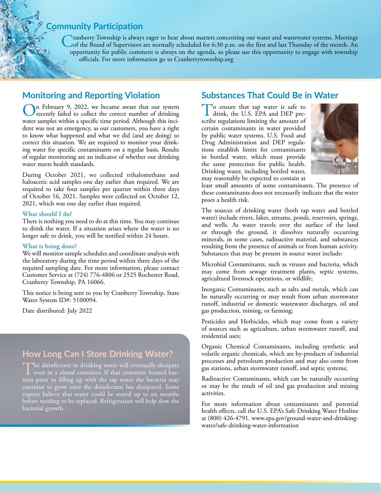## **Community Participation**

Cranberry Township is always eager to hear about matters concerning our water and wastewater systems. Meetings<br>
of the Board of Supervisors are normally scheduled for 6:30 p.m. on the first and last Thursday of the month. opportunity for public comment is always on the agenda, so please use this opportunity to engage with township officials. For more information go to [Cranberrytownship.org](http://Cranberrytownship.org)

### **Monitoring and Reporting Violation**

On February 9, 2022, we became aware that our system<br>recently failed to collect the correct number of drinking<br>were sense in this consideration and dependent distance water samples within a specific time period. Although this incident was not an emergency, as our customers, you have a right to know what happened and what we did (and are doing) to correct this situation. We are required to monitor your drinking water for specific contaminants on a regular basis. Results of regular monitoring are an indicator of whether our drinking water meets health standards.

During October 2021, we collected trihalomethane and haloacetic acid samples one day earlier than required. We are required to take four samples per quarter within three days of October 16, 2021. Samples were collected on October 12, 2021, which was one day earlier than required.

#### **What should I do?**

There is nothing you need to do at this time. You may continue to drink the water. If a situation arises where the water is no longer safe to drink, you will be notified within 24 hours.

#### **What is being done?**

We will monitor sample schedules and coordinate analysis with the laboratory during the time period within three days of the required sampling date. For more information, please contact Customer Service at (724) 776-4806 or 2525 Rochester Road, Cranberry Township, PA 16066.

This notice is being sent to you by Cranberry Township, State Water System ID#: 5100094.

Date distributed: July 2022

## **How Long Can I Store Drinking Water?**

The disinfectant in drinking water will eventually dissipate even in a closed container. If that container housed bacteria prior to filling up with the tap water the bacteria may continue to grow once the disinfectant has dissipated. Some experts believe that water could be stored up to six months before needing to be replaced. Refrigeration will help slow the bacterial growth.

## **Substances That Could Be in Water**

To ensure that tap water is safe to drink, the U.S. EPA and DEP prescribe regulations limiting the amount of certain contaminants in water provided by public water systems. U.S. Food and Drug Administration and DEP regulations establish limits for contaminants in bottled water, which must provide the same protection for public health. Drinking water, including bottled water, may reasonably be expected to contain at



least small amounts of some contaminants. The presence of these contaminants does not necessarily indicate that the water poses a health risk.

The sources of drinking water (both tap water and bottled water) include rivers, lakes, streams, ponds, reservoirs, springs, and wells. As water travels over the surface of the land or through the ground, it dissolves naturally occurring minerals, in some cases, radioactive material, and substances resulting from the presence of animals or from human activity. Substances that may be present in source water include:

Microbial Contaminants, such as viruses and bacteria, which may come from sewage treatment plants, septic systems, agricultural livestock operations, or wildlife;

Inorganic Contaminants, such as salts and metals, which can be naturally occurring or may result from urban stormwater runoff, industrial or domestic wastewater discharges, oil and gas production, mining, or farming;

Pesticides and Herbicides, which may come from a variety of sources such as agriculture, urban stormwater runoff, and residential uses;

Organic Chemical Contaminants, including synthetic and volatile organic chemicals, which are by-products of industrial processes and petroleum production and may also come from gas stations, urban stormwater runoff, and septic systems;

Radioactive Contaminants, which can be naturally occurring or may be the result of oil and gas production and mining activities.

For more information about contaminants and potential health effects, call the U.S. EPA's Safe Drinking Water Hotline at (800) 426-4791. [www.epa.gov/ground-water-and-drinking](http://www.epa.gov/ground-water-and-drinking-water/safe-drinking-water-information)[water/safe-drinking-water-information](http://www.epa.gov/ground-water-and-drinking-water/safe-drinking-water-information)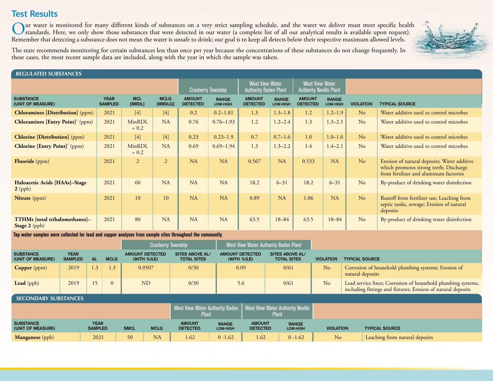## **Test Results**

Our water is monitored for many different kinds of substances on a very strict sampling schedule, and the water we deliver must meet specific health<br>Standards. Here, we only show those substances that were detected in our Remember that detecting a substance does not mean the water is unsafe to drink; our goal is to keep all detects below their respective maximum allowed levels.



The state recommends monitoring for certain substances less than once per year because the concentrations of these substances do not change frequently. In these cases, the most recent sample data are included, along with the year in which the sample was taken.

#### REGULATED SUBSTANCES

|                                                          |                               |                      |                        |                                  | West View Water<br><b>Cranberry Township</b><br><b>Authority Baden Plant</b> |                                  | <b>West View Water</b><br><b>Authority Neville Plant</b> |                                  |                          |                  |                                                                                                                                 |
|----------------------------------------------------------|-------------------------------|----------------------|------------------------|----------------------------------|------------------------------------------------------------------------------|----------------------------------|----------------------------------------------------------|----------------------------------|--------------------------|------------------|---------------------------------------------------------------------------------------------------------------------------------|
| <b>SUBSTANCE</b><br>(UNIT OF MEASURE)                    | <b>YEAR</b><br><b>SAMPLED</b> | <b>MCL</b><br>[MRDL] | <b>MCLG</b><br>[MRDLG] | <b>AMOUNT</b><br><b>DETECTED</b> | <b>RANGE</b><br>LOW-HIGH                                                     | <b>AMOUNT</b><br><b>DETECTED</b> | <b>RANGE</b><br><b>LOW-HIGH</b>                          | <b>AMOUNT</b><br><b>DETECTED</b> | <b>RANGE</b><br>LOW-HIGH | <b>VIOLATION</b> | <b>TYPICAL SOURCE</b>                                                                                                           |
| <b>Chloramines [Distribution]</b> (ppm)                  | 2021                          | $[4]$                | $[4]$                  | 0.2                              | $0.2 - 1.81$                                                                 | 1.3                              | $1.3 - 1.8$                                              | 1.2                              | $1.2 - 1.9$              | No               | Water additive used to control microbes                                                                                         |
| <b>Chloramines [Entry Point]</b> (ppm)                   | 2021                          | MinRDL<br>$= 0.2$    | <b>NA</b>              | 0.76                             | $0.76 - 1.93$                                                                | 1.2                              | $1.2 - 2.4$                                              | 1.3                              | $1.3 - 2.1$              | No               | Water additive used to control microbes                                                                                         |
| <b>Chlorine [Distribution]</b> (ppm)                     | 2021                          | $[4]$                | $[4]$                  | 0.23                             | $0.23 - 1.9$                                                                 | 0.7                              | $0.7 - 1.6$                                              | 1.0                              | $1.0 - 1.6$              | No               | Water additive used to control microbes                                                                                         |
| <b>Chlorine [Entry Point]</b> (ppm)                      | 2021                          | MinRDL<br>$= 0.2$    | NA                     | 0.69                             | $0.69 - 1.94$                                                                | 1.3                              | $1.3 - 2.2$                                              | 1.4                              | $1.4 - 2.1$              | No               | Water additive used to control microbes                                                                                         |
| <b>Fluoride</b> (ppm)                                    | 2021                          | $\overline{2}$       | 2                      | NA                               | NA                                                                           | 0.567                            | NA                                                       | 0.533                            | NA                       | No               | Erosion of natural deposits; Water additive<br>which promotes strong teeth; Discharge<br>from fertilizer and aluminum factories |
| Haloacetic Acids [HAAs]-Stage<br>$2$ (ppb)               | 2021                          | 60                   | <b>NA</b>              | NA                               | NA                                                                           | 18.2                             | $6 - 31$                                                 | 18.2                             | $6 - 31$                 | No               | By-product of drinking water disinfection                                                                                       |
| <b>Nitrate</b> (ppm)                                     | 2021                          | 10                   | 10                     | NA                               | NA                                                                           | 0.89                             | NA                                                       | 1.06                             | NA                       | No               | Runoff from fertilizer use; Leaching from<br>septic tanks, sewage; Erosion of natural<br>deposits                               |
| <b>TTHMs [total trihalomethanes]-</b><br>Stage $2$ (ppb) | 2021                          | 80                   | <b>NA</b>              | NA                               | <b>NA</b>                                                                    | 63.5                             | $18 - 84$                                                | 63.5                             | $18 - 84$                | No               | By-product of drinking water disinfection                                                                                       |

**Tap water samples were collected for lead and copper analyses from sample sites throughout the community**

|                                       |                               |             |               | <b>Cranberry Township</b>      |                                              | West View Water Authority Baden Plant |                                              |                  |                                                                                                                              |
|---------------------------------------|-------------------------------|-------------|---------------|--------------------------------|----------------------------------------------|---------------------------------------|----------------------------------------------|------------------|------------------------------------------------------------------------------------------------------------------------------|
| <b>SUBSTANCE</b><br>(UNIT OF MEASURE) | <b>YEAR</b><br><b>SAMPLED</b> | AL <b>T</b> | <b>MCLG</b>   | AMOUNT DETECTED<br>(90TH %ILE) | <b>SITES ABOVE AL/</b><br><b>TOTAL SITES</b> | <b>AMOUNT DETECTED</b><br>(90TH %ILE) | <b>SITES ABOVE AL/</b><br><b>TOTAL SITES</b> | <b>VIOLATION</b> | <b>TYPICAL SOURCE</b>                                                                                                        |
| <b>Copper</b> ( $ppm$ )               | 2019                          | 1.3         | $1.3^{\circ}$ | 0.0507                         | 0/30                                         | 0.09                                  | 0/61                                         | No               | Corrosion of household plumbing systems; Erosion of<br>natural deposits                                                      |
| <b>Lead</b> (ppb)                     | 2019                          |             |               | <b>ND</b>                      | 0/30                                         | 5.6                                   | 0/61                                         | No               | Lead service lines; Corrosion of household plumbing systems,<br>including fittings and fixtures; Erosion of natural deposits |

#### SECONDARY SUBSTANCES

|                                       |                               |                 |             |                                  |                                 | West View Water Authority Neville<br>  West View Water Authority Baden  <br>Plant |                                 |                  |                                |
|---------------------------------------|-------------------------------|-----------------|-------------|----------------------------------|---------------------------------|-----------------------------------------------------------------------------------|---------------------------------|------------------|--------------------------------|
| <b>SUBSTANCE</b><br>(UNIT OF MEASURE) | <b>YEAR</b><br><b>SAMPLED</b> | <b>SMCL</b>     | <b>MCLG</b> | <b>AMOUNT</b><br><b>DETECTED</b> | <b>RANGE</b><br><b>LOW-HIGH</b> | <b>AMOUNT</b><br><b>DETECTED</b>                                                  | <b>RANGE</b><br><b>LOW-HIGH</b> | <b>VIOLATION</b> | <b>TYPICAL SOURCE</b>          |
| <b>Manganese</b> (ppb)                | 2021                          | 50 <sub>1</sub> | <b>NA</b>   | 1.62                             | $0 - 1.62$                      | 1.62                                                                              | $0 - 1.62$                      | N <sub>o</sub>   | Leaching from natural deposits |